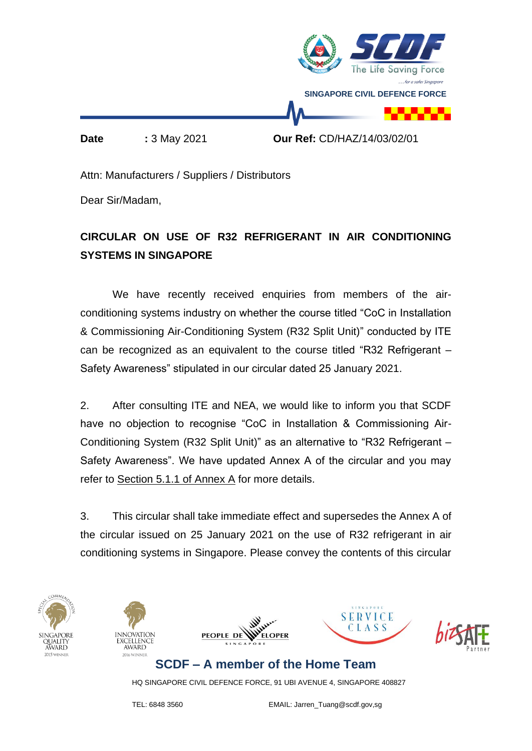

Attn: Manufacturers / Suppliers / Distributors

Dear Sir/Madam,

# **CIRCULAR ON USE OF R32 REFRIGERANT IN AIR CONDITIONING SYSTEMS IN SINGAPORE**

We have recently received enquiries from members of the airconditioning systems industry on whether the course titled "CoC in Installation & Commissioning Air-Conditioning System (R32 Split Unit)" conducted by ITE can be recognized as an equivalent to the course titled "R32 Refrigerant – Safety Awareness" stipulated in our circular dated 25 January 2021.

2. After consulting ITE and NEA, we would like to inform you that SCDF have no objection to recognise "CoC in Installation & Commissioning Air-Conditioning System (R32 Split Unit)" as an alternative to "R32 Refrigerant – Safety Awareness". We have updated Annex A of the circular and you may refer to Section 5.1.1 of Annex A for more details.

3. This circular shall take immediate effect and supersedes the Annex A of the circular issued on 25 January 2021 on the use of R32 refrigerant in air conditioning systems in Singapore. Please convey the contents of this circular











# **SCDF – A member of the Home Team**

HQ SINGAPORE CIVIL DEFENCE FORCE, 91 UBI AVENUE 4, SINGAPORE 408827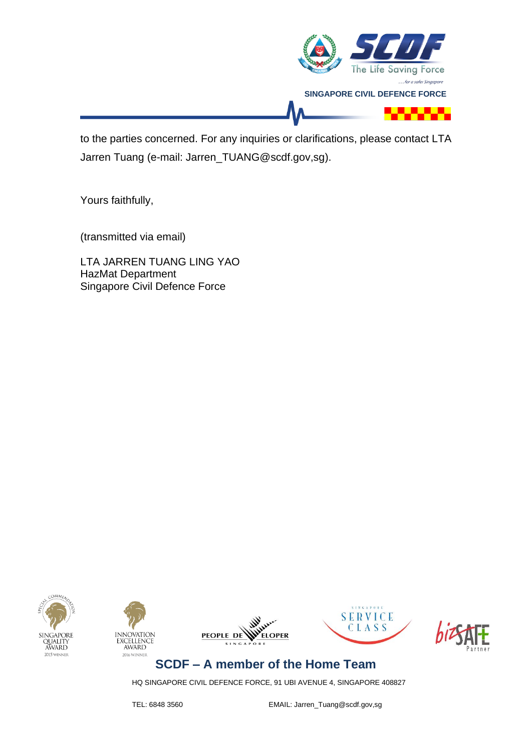

to the parties concerned. For any inquiries or clarifications, please contact LTA Jarren Tuang (e-mail: Jarren\_TUANG@scdf.gov,sg).

Yours faithfully,

(transmitted via email)

LTA JARREN TUANG LING YAO HazMat Department Singapore Civil Defence Force











**SCDF – A member of the Home Team**

HQ SINGAPORE CIVIL DEFENCE FORCE, 91 UBI AVENUE 4, SINGAPORE 408827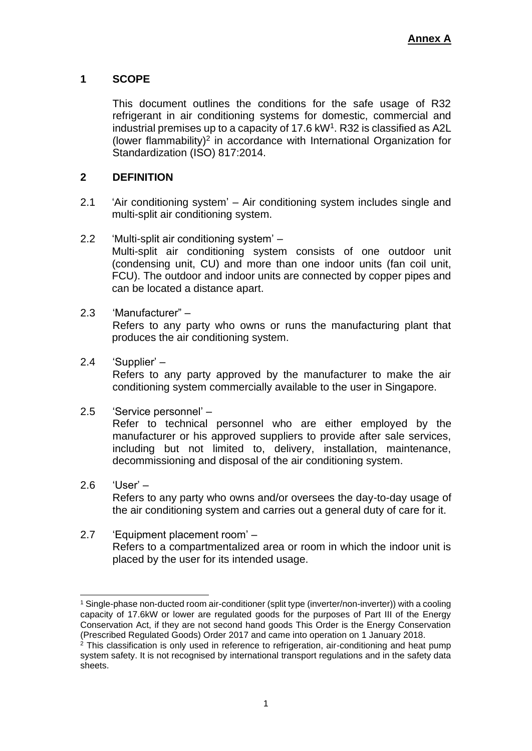# **1 SCOPE**

This document outlines the conditions for the safe usage of R32 refrigerant in air conditioning systems for domestic, commercial and industrial premises up to a capacity of 17.6 kW<sup>1</sup>. R32 is classified as A2L (lower flammability)<sup>2</sup> in accordance with International Organization for Standardization (ISO) 817:2014.

# **2 DEFINITION**

- 2.1 'Air conditioning system' Air conditioning system includes single and multi-split air conditioning system.
- 2.2 'Multi-split air conditioning system' Multi-split air conditioning system consists of one outdoor unit (condensing unit, CU) and more than one indoor units (fan coil unit, FCU). The outdoor and indoor units are connected by copper pipes and can be located a distance apart.

# 2.3 'Manufacturer" –

Refers to any party who owns or runs the manufacturing plant that produces the air conditioning system.

2.4 'Supplier' –

Refers to any party approved by the manufacturer to make the air conditioning system commercially available to the user in Singapore.

# 2.5 'Service personnel' –

Refer to technical personnel who are either employed by the manufacturer or his approved suppliers to provide after sale services, including but not limited to, delivery, installation, maintenance, decommissioning and disposal of the air conditioning system.

- 2.6 'User' Refers to any party who owns and/or oversees the day-to-day usage of the air conditioning system and carries out a general duty of care for it.
- 2.7 'Equipment placement room' Refers to a compartmentalized area or room in which the indoor unit is placed by the user for its intended usage.

<sup>1</sup> Single-phase non-ducted room air-conditioner (split type (inverter/non-inverter)) with a cooling capacity of 17.6kW or lower are regulated goods for the purposes of Part III of the Energy Conservation Act, if they are not second hand goods This Order is the Energy Conservation (Prescribed Regulated Goods) Order 2017 and came into operation on 1 January 2018.

 $2$  This classification is only used in reference to refrigeration, air-conditioning and heat pump system safety. It is not recognised by international transport regulations and in the safety data sheets.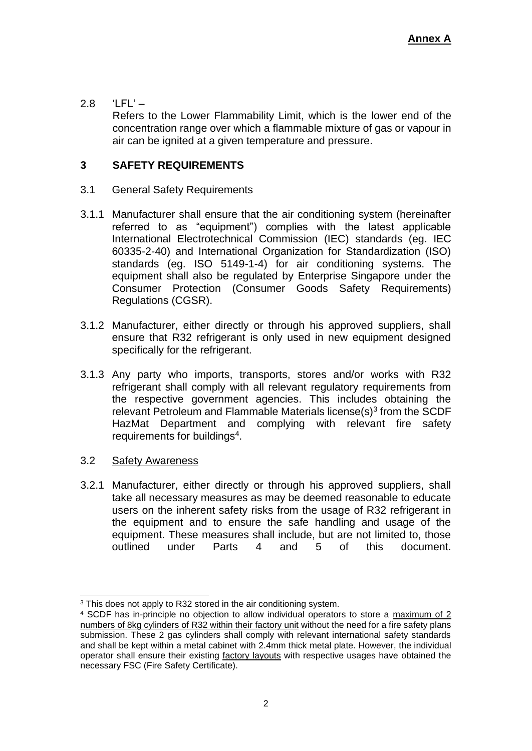# $2.8$  'LFL' –

Refers to the Lower Flammability Limit, which is the lower end of the concentration range over which a flammable mixture of gas or vapour in air can be ignited at a given temperature and pressure.

### **3 SAFETY REQUIREMENTS**

#### 3.1 General Safety Requirements

- 3.1.1 Manufacturer shall ensure that the air conditioning system (hereinafter referred to as "equipment") complies with the latest applicable International Electrotechnical Commission (IEC) standards (eg. IEC 60335-2-40) and International Organization for Standardization (ISO) standards (eg. ISO 5149-1-4) for air conditioning systems. The equipment shall also be regulated by Enterprise Singapore under the Consumer Protection (Consumer Goods Safety Requirements) Regulations (CGSR).
- 3.1.2 Manufacturer, either directly or through his approved suppliers, shall ensure that R32 refrigerant is only used in new equipment designed specifically for the refrigerant.
- 3.1.3 Any party who imports, transports, stores and/or works with R32 refrigerant shall comply with all relevant regulatory requirements from the respective government agencies. This includes obtaining the relevant Petroleum and Flammable Materials license $(s)^3$  from the SCDF HazMat Department and complying with relevant fire safety requirements for buildings<sup>4</sup>.

### 3.2 Safety Awareness

3.2.1 Manufacturer, either directly or through his approved suppliers, shall take all necessary measures as may be deemed reasonable to educate users on the inherent safety risks from the usage of R32 refrigerant in the equipment and to ensure the safe handling and usage of the equipment. These measures shall include, but are not limited to, those outlined under Parts 4 and 5 of this document.

<sup>&</sup>lt;sup>3</sup> This does not apply to R32 stored in the air conditioning system.

<sup>4</sup> SCDF has in-principle no objection to allow individual operators to store a maximum of 2 numbers of 8kg cylinders of R32 within their factory unit without the need for a fire safety plans submission. These 2 gas cylinders shall comply with relevant international safety standards and shall be kept within a metal cabinet with 2.4mm thick metal plate. However, the individual operator shall ensure their existing factory layouts with respective usages have obtained the necessary FSC (Fire Safety Certificate).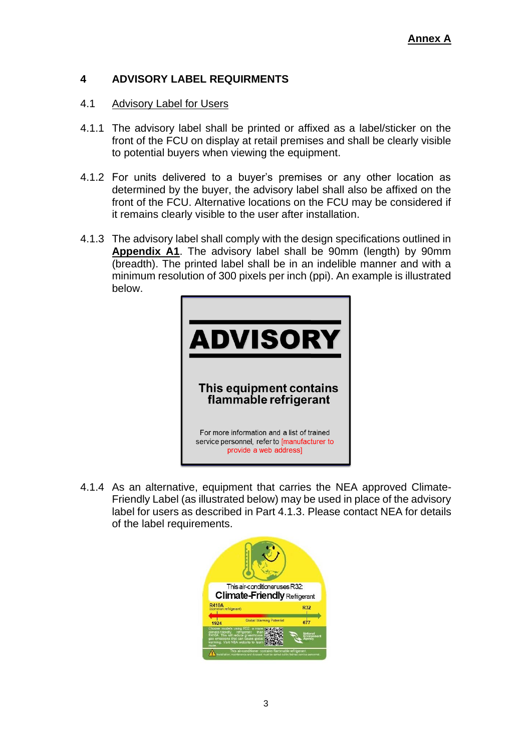# **4 ADVISORY LABEL REQUIRMENTS**

### 4.1 Advisory Label for Users

- 4.1.1 The advisory label shall be printed or affixed as a label/sticker on the front of the FCU on display at retail premises and shall be clearly visible to potential buyers when viewing the equipment.
- 4.1.2 For units delivered to a buyer's premises or any other location as determined by the buyer, the advisory label shall also be affixed on the front of the FCU. Alternative locations on the FCU may be considered if it remains clearly visible to the user after installation.
- 4.1.3 The advisory label shall comply with the design specifications outlined in **Appendix A1**. The advisory label shall be 90mm (length) by 90mm (breadth). The printed label shall be in an indelible manner and with a minimum resolution of 300 pixels per inch (ppi). An example is illustrated below.



4.1.4 As an alternative, equipment that carries the NEA approved Climate-Friendly Label (as illustrated below) may be used in place of the advisory label for users as described in Part 4.1.3. Please contact NEA for details of the label requirements.

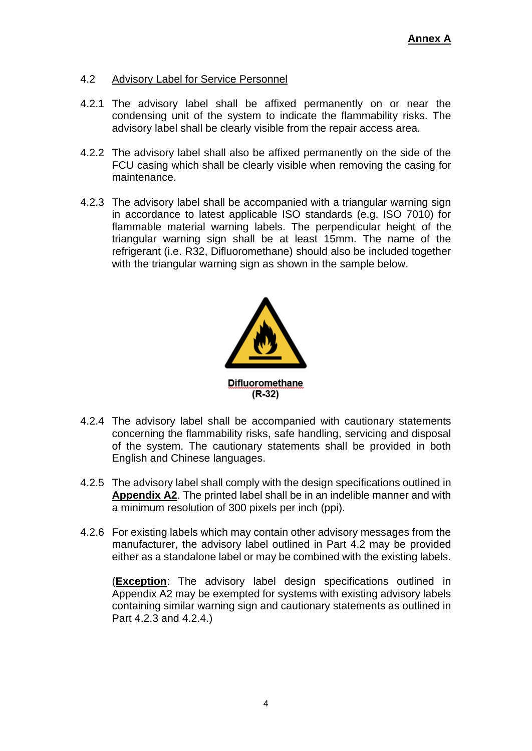## 4.2 Advisory Label for Service Personnel

- 4.2.1 The advisory label shall be affixed permanently on or near the condensing unit of the system to indicate the flammability risks. The advisory label shall be clearly visible from the repair access area.
- 4.2.2 The advisory label shall also be affixed permanently on the side of the FCU casing which shall be clearly visible when removing the casing for maintenance.
- 4.2.3 The advisory label shall be accompanied with a triangular warning sign in accordance to latest applicable ISO standards (e.g. ISO 7010) for flammable material warning labels. The perpendicular height of the triangular warning sign shall be at least 15mm. The name of the refrigerant (i.e. R32, Difluoromethane) should also be included together with the triangular warning sign as shown in the sample below.



- 4.2.4 The advisory label shall be accompanied with cautionary statements concerning the flammability risks, safe handling, servicing and disposal of the system. The cautionary statements shall be provided in both English and Chinese languages.
- 4.2.5 The advisory label shall comply with the design specifications outlined in **Appendix A2**. The printed label shall be in an indelible manner and with a minimum resolution of 300 pixels per inch (ppi).
- 4.2.6 For existing labels which may contain other advisory messages from the manufacturer, the advisory label outlined in Part 4.2 may be provided either as a standalone label or may be combined with the existing labels.

(**Exception**: The advisory label design specifications outlined in Appendix A2 may be exempted for systems with existing advisory labels containing similar warning sign and cautionary statements as outlined in Part 4.2.3 and 4.2.4.)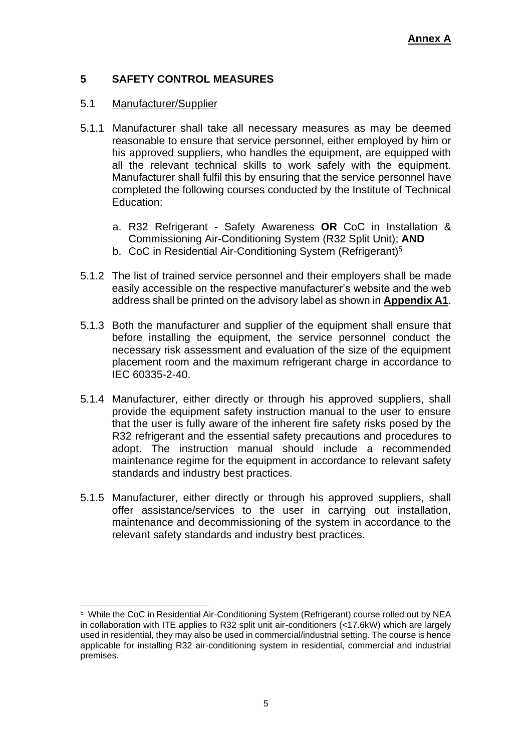# **5 SAFETY CONTROL MEASURES**

### 5.1 Manufacturer/Supplier

- 5.1.1 Manufacturer shall take all necessary measures as may be deemed reasonable to ensure that service personnel, either employed by him or his approved suppliers, who handles the equipment, are equipped with all the relevant technical skills to work safely with the equipment. Manufacturer shall fulfil this by ensuring that the service personnel have completed the following courses conducted by the Institute of Technical Education:
	- a. R32 Refrigerant Safety Awareness **OR** CoC in Installation & Commissioning Air-Conditioning System (R32 Split Unit); **AND**
	- b. CoC in Residential Air-Conditioning System (Refrigerant)<sup>5</sup>
- 5.1.2 The list of trained service personnel and their employers shall be made easily accessible on the respective manufacturer's website and the web address shall be printed on the advisory label as shown in **Appendix A1**.
- 5.1.3 Both the manufacturer and supplier of the equipment shall ensure that before installing the equipment, the service personnel conduct the necessary risk assessment and evaluation of the size of the equipment placement room and the maximum refrigerant charge in accordance to IEC 60335-2-40.
- 5.1.4 Manufacturer, either directly or through his approved suppliers, shall provide the equipment safety instruction manual to the user to ensure that the user is fully aware of the inherent fire safety risks posed by the R32 refrigerant and the essential safety precautions and procedures to adopt. The instruction manual should include a recommended maintenance regime for the equipment in accordance to relevant safety standards and industry best practices.
- 5.1.5 Manufacturer, either directly or through his approved suppliers, shall offer assistance/services to the user in carrying out installation, maintenance and decommissioning of the system in accordance to the relevant safety standards and industry best practices.

<sup>&</sup>lt;sup>5</sup> While the CoC in Residential Air-Conditioning System (Refrigerant) course rolled out by NEA in collaboration with ITE applies to R32 split unit air-conditioners (<17.6kW) which are largely used in residential, they may also be used in commercial/industrial setting. The course is hence applicable for installing R32 air-conditioning system in residential, commercial and industrial premises.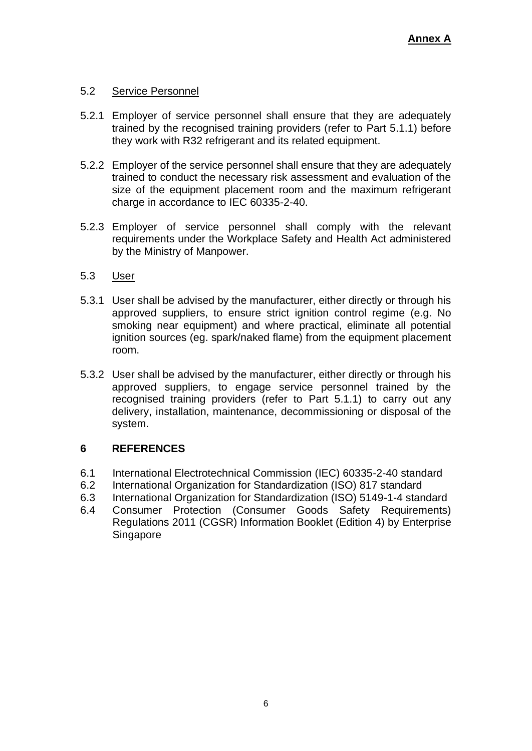## 5.2 Service Personnel

- 5.2.1 Employer of service personnel shall ensure that they are adequately trained by the recognised training providers (refer to Part 5.1.1) before they work with R32 refrigerant and its related equipment.
- 5.2.2 Employer of the service personnel shall ensure that they are adequately trained to conduct the necessary risk assessment and evaluation of the size of the equipment placement room and the maximum refrigerant charge in accordance to IEC 60335-2-40.
- 5.2.3 Employer of service personnel shall comply with the relevant requirements under the Workplace Safety and Health Act administered by the Ministry of Manpower.

### 5.3 User

- 5.3.1 User shall be advised by the manufacturer, either directly or through his approved suppliers, to ensure strict ignition control regime (e.g. No smoking near equipment) and where practical, eliminate all potential ignition sources (eg. spark/naked flame) from the equipment placement room.
- 5.3.2 User shall be advised by the manufacturer, either directly or through his approved suppliers, to engage service personnel trained by the recognised training providers (refer to Part 5.1.1) to carry out any delivery, installation, maintenance, decommissioning or disposal of the system.

# **6 REFERENCES**

- 6.1 International Electrotechnical Commission (IEC) 60335-2-40 standard
- 6.2 International Organization for Standardization (ISO) 817 standard
- 6.3 International Organization for Standardization (ISO) 5149-1-4 standard
- 6.4 Consumer Protection (Consumer Goods Safety Requirements) Regulations 2011 (CGSR) Information Booklet (Edition 4) by Enterprise Singapore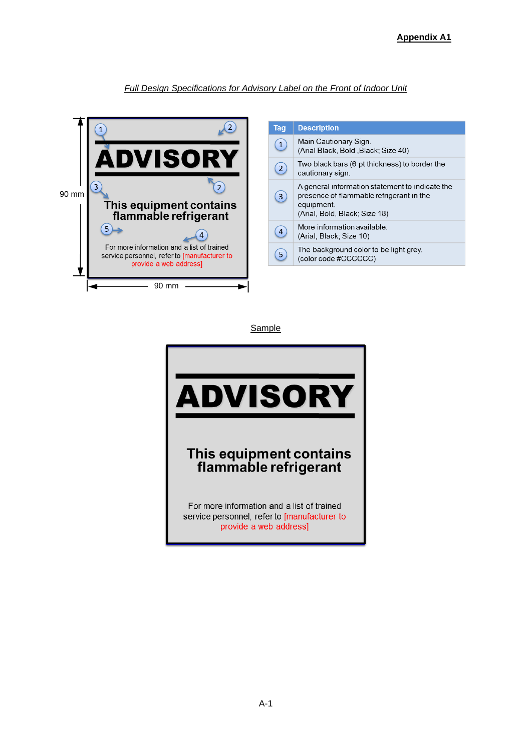#### **Full Design Specifications for Advisory Label on the Front of Indoor Unit**



| Tag            | <b>Description</b>                                                                                                                         |
|----------------|--------------------------------------------------------------------------------------------------------------------------------------------|
| $\mathbf{1}$   | Main Cautionary Sign.<br>(Arial Black, Bold, Black; Size 40)                                                                               |
| $\overline{2}$ | Two black bars (6 pt thickness) to border the<br>cautionary sign.                                                                          |
| 3              | A general information statement to indicate the<br>presence of flammable refrigerant in the<br>equipment.<br>(Arial, Bold, Black; Size 18) |
| 4              | More information available<br>(Arial, Black; Size 10)                                                                                      |
| 5              | The background color to be light grey.<br>(color code #CCCCCC)                                                                             |

**Sample**